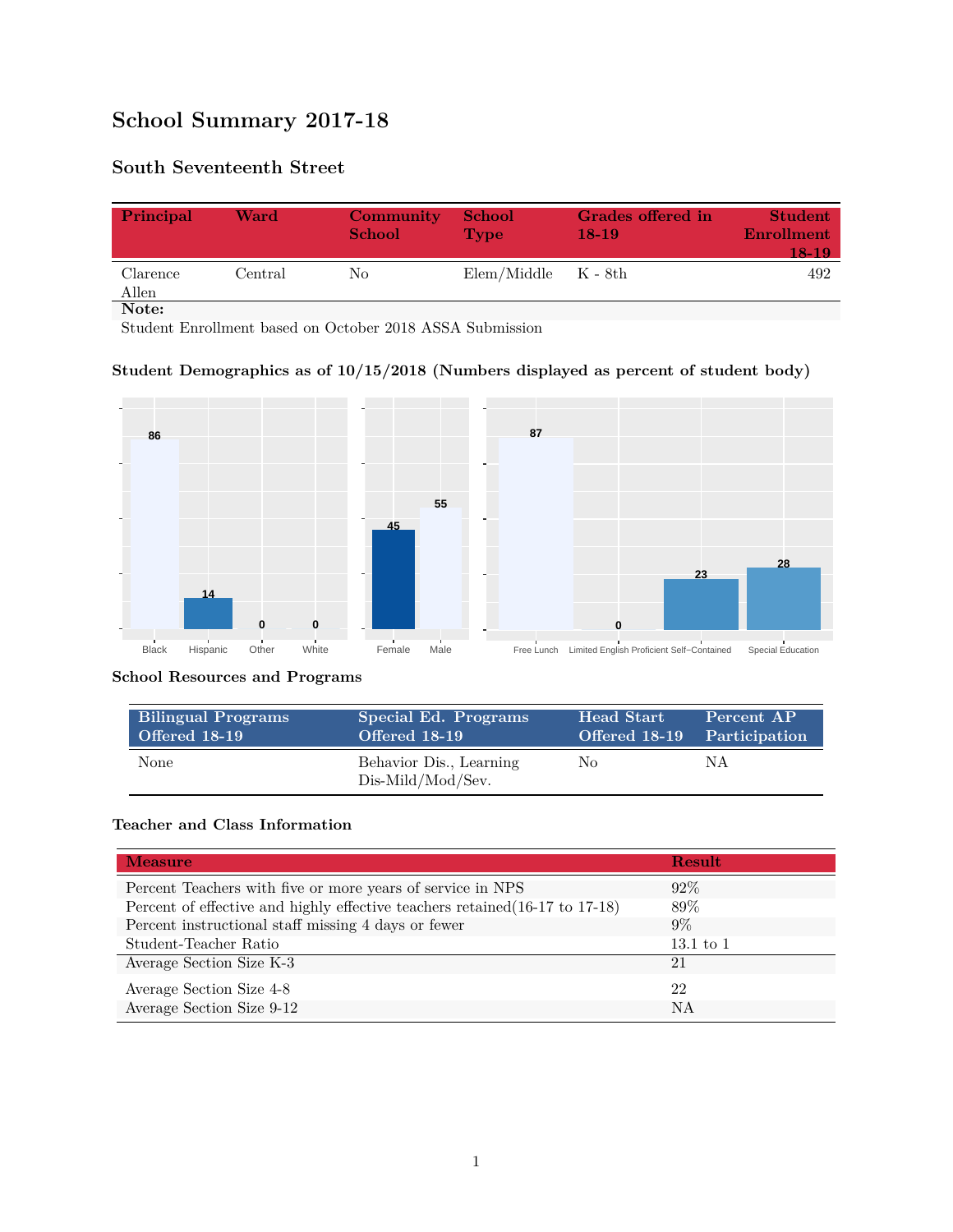# **School Summary 2017-18**

## **South Seventeenth Street**

| Principal         | Ward    | Community<br><b>School</b> | <b>School</b><br><b>Type</b> | Grades offered in<br>$18-19$ | <b>Student</b><br>Enrollment<br>$18-19$ |
|-------------------|---------|----------------------------|------------------------------|------------------------------|-----------------------------------------|
| Clarence<br>Allen | Central | No.                        | $Elem/Middle$ $K - 8th$      |                              | 492                                     |
| Note:             |         |                            |                              |                              |                                         |

Student Enrollment based on October 2018 ASSA Submission

#### **Student Demographics as of 10/15/2018 (Numbers displayed as percent of student body)**



#### **School Resources and Programs**

| <b>Bilingual Programs</b> | Special Ed. Programs                         | <b>Head Start</b>           | Percent AP |
|---------------------------|----------------------------------------------|-----------------------------|------------|
| <b>Offered 18-19</b>      | Offered 18-19                                | Offered 18-19 Participation |            |
| None                      | Behavior Dis., Learning<br>Dis-Mild/Mod/Sev. | No.                         | ΝA         |

#### **Teacher and Class Information**

| <b>Measure</b>                                                               | <b>Result</b> |
|------------------------------------------------------------------------------|---------------|
| Percent Teachers with five or more years of service in NPS                   | $92\%$        |
| Percent of effective and highly effective teachers retained (16-17 to 17-18) | 89\%          |
| Percent instructional staff missing 4 days or fewer                          | $9\%$         |
| Student-Teacher Ratio                                                        | $13.1$ to $1$ |
| Average Section Size K-3                                                     | 21            |
| Average Section Size 4-8                                                     | 22            |
| Average Section Size 9-12                                                    | NA            |